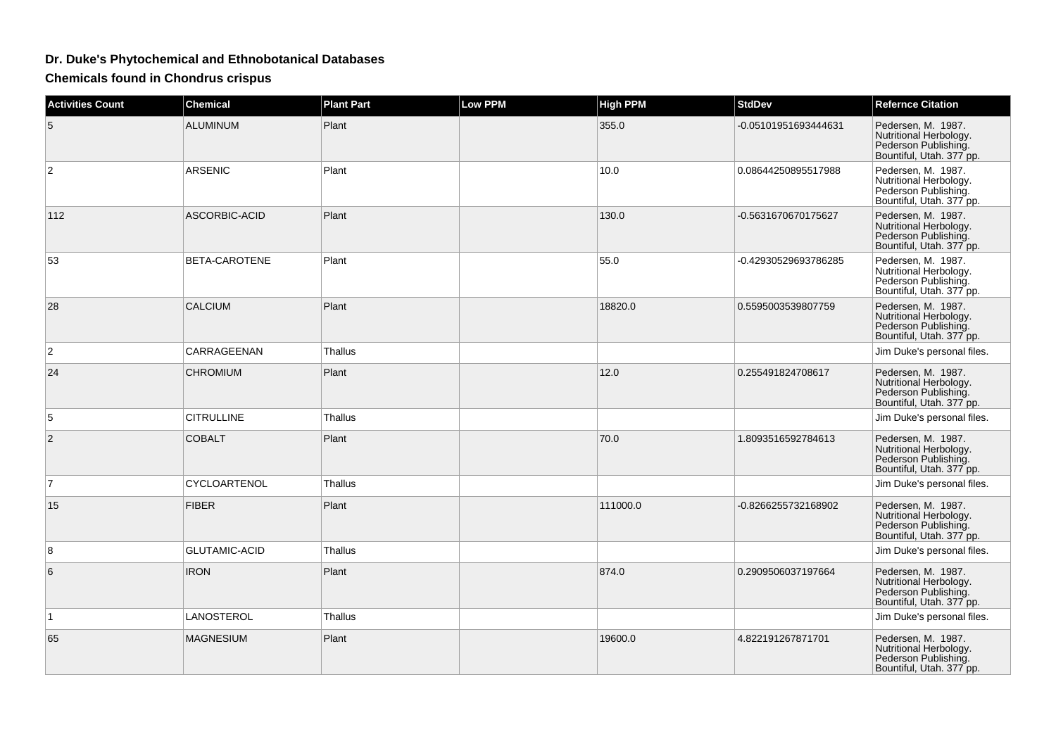## **Dr. Duke's Phytochemical and Ethnobotanical Databases**

**Chemicals found in Chondrus crispus**

| <b>Activities Count</b> | <b>Chemical</b>      | <b>Plant Part</b> | <b>Low PPM</b> | <b>High PPM</b> | <b>StdDev</b>        | <b>Refernce Citation</b>                                                                         |
|-------------------------|----------------------|-------------------|----------------|-----------------|----------------------|--------------------------------------------------------------------------------------------------|
| 5                       | <b>ALUMINUM</b>      | Plant             |                | 355.0           | -0.05101951693444631 | Pedersen, M. 1987.<br>Nutritional Herbology.<br>Pederson Publishing.<br>Bountiful, Utah. 377 pp. |
| $\overline{2}$          | <b>ARSENIC</b>       | Plant             |                | 10.0            | 0.08644250895517988  | Pedersen, M. 1987.<br>Nutritional Herbology.<br>Pederson Publishing.<br>Bountiful, Utah. 377 pp. |
| 112                     | <b>ASCORBIC-ACID</b> | Plant             |                | 130.0           | -0.5631670670175627  | Pedersen, M. 1987.<br>Nutritional Herbology.<br>Pederson Publishing.<br>Bountiful, Utah. 377 pp. |
| 53                      | BETA-CAROTENE        | Plant             |                | 55.0            | -0.42930529693786285 | Pedersen, M. 1987.<br>Nutritional Herbology.<br>Pederson Publishing.<br>Bountiful, Utah. 377 pp. |
| 28                      | <b>CALCIUM</b>       | Plant             |                | 18820.0         | 0.5595003539807759   | Pedersen, M. 1987.<br>Nutritional Herbology.<br>Pederson Publishing.<br>Bountiful, Utah. 377 pp. |
| 2                       | CARRAGEENAN          | Thallus           |                |                 |                      | Jim Duke's personal files.                                                                       |
| 24                      | <b>CHROMIUM</b>      | Plant             |                | 12.0            | 0.255491824708617    | Pedersen, M. 1987.<br>Nutritional Herbology.<br>Pederson Publishing.<br>Bountiful, Utah. 377 pp. |
| 5                       | <b>CITRULLINE</b>    | <b>Thallus</b>    |                |                 |                      | Jim Duke's personal files.                                                                       |
| 2                       | <b>COBALT</b>        | Plant             |                | 70.0            | 1.8093516592784613   | Pedersen, M. 1987.<br>Nutritional Herbology.<br>Pederson Publishing.<br>Bountiful, Utah. 377 pp. |
| $\overline{7}$          | CYCLOARTENOL         | Thallus           |                |                 |                      | Jim Duke's personal files.                                                                       |
| 15                      | <b>FIBER</b>         | Plant             |                | 111000.0        | -0.8266255732168902  | Pedersen, M. 1987.<br>Nutritional Herbology.<br>Pederson Publishing.<br>Bountiful, Utah. 377 pp. |
| 8                       | <b>GLUTAMIC-ACID</b> | Thallus           |                |                 |                      | Jim Duke's personal files.                                                                       |
| 6                       | <b>IRON</b>          | Plant             |                | 874.0           | 0.2909506037197664   | Pedersen, M. 1987.<br>Nutritional Herbology.<br>Pederson Publishing.<br>Bountiful, Utah. 377 pp. |
| $\mathbf{1}$            | LANOSTEROL           | <b>Thallus</b>    |                |                 |                      | Jim Duke's personal files.                                                                       |
| 65                      | <b>MAGNESIUM</b>     | Plant             |                | 19600.0         | 4.822191267871701    | Pedersen, M. 1987.<br>Nutritional Herbology.<br>Pederson Publishing.<br>Bountiful, Utah. 377 pp. |